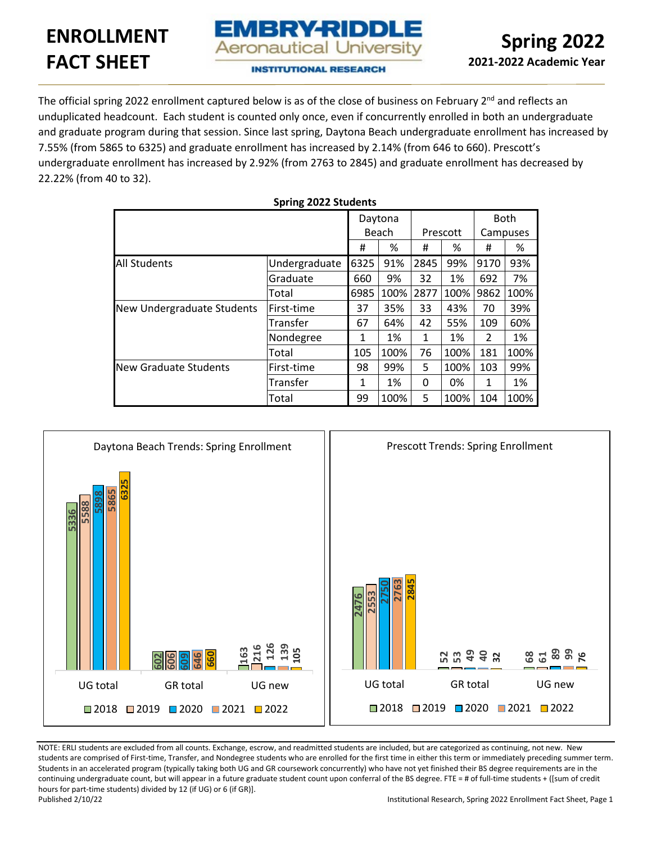# **ENROLLMENT FACT SHEET**



**INSTITUTIONAL RESEARCH** 

EMBRY-RIDDLE **Aeronautical University** 

The official spring 2022 enrollment captured below is as of the close of business on February 2<sup>nd</sup> and reflects an unduplicated headcount. Each student is counted only once, even if concurrently enrolled in both an undergraduate and graduate program during that session. Since last spring, Daytona Beach undergraduate enrollment has increased by 7.55% (from 5865 to 6325) and graduate enrollment has increased by 2.14% (from 646 to 660). Prescott's undergraduate enrollment has increased by 2.92% (from 2763 to 2845) and graduate enrollment has decreased by 22.22% (from 40 to 32).

**Spring 2022 Students**

|                              |               |      | Daytona |              |          |      | <b>Both</b> |
|------------------------------|---------------|------|---------|--------------|----------|------|-------------|
|                              |               |      | Beach   |              | Prescott |      | Campuses    |
|                              |               | #    | %       | Ħ            | %        | #    | %           |
| <b>All Students</b>          | Undergraduate | 6325 | 91%     | 2845         | 99%      | 9170 | 93%         |
|                              | Graduate      | 660  | 9%      | 32           | 1%       | 692  | 7%          |
|                              | Total         | 6985 | 100%    | 2877         | 100%     | 9862 | 100%        |
| New Undergraduate Students   | lFirst-time   | 37   | 35%     | 33           | 43%      | 70   | 39%         |
|                              | Transfer      | 67   | 64%     | 42           | 55%      | 109  | 60%         |
|                              | Nondegree     | 1    | 1%      | $\mathbf{1}$ | 1%       | 2    | 1%          |
|                              | Total         | 105  | 100%    | 76           | 100%     | 181  | 100%        |
| <b>New Graduate Students</b> | lFirst-time   | 98   | 99%     | 5            | 100%     | 103  | 99%         |
|                              | Transfer      | 1    | 1%      | 0            | 0%       | 1    | 1%          |
|                              | Total         | 99   | 100%    | 5            | 100%     | 104  | 100%        |



NOTE: ERLI students are excluded from all counts. Exchange, escrow, and readmitted students are included, but are categorized as continuing, not new. New students are comprised of First-time, Transfer, and Nondegree students who are enrolled for the first time in either this term or immediately preceding summer term. Students in an accelerated program (typically taking both UG and GR coursework concurrently) who have not yet finished their BS degree requirements are in the continuing undergraduate count, but will appear in a future graduate student count upon conferral of the BS degree. FTE = # of full-time students + ([sum of credit hours for part-time students) divided by 12 (if UG) or 6 (if GR)].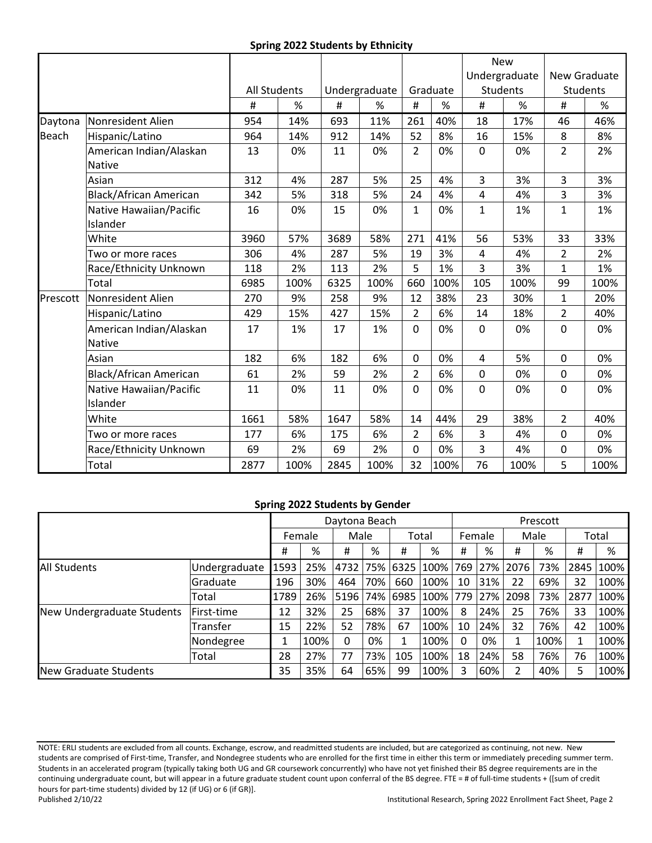## **Spring 2022 Students by Ethnicity**

|          |                                     |                     |      |      |               |                |          |              | <b>New</b>      |                 |      |
|----------|-------------------------------------|---------------------|------|------|---------------|----------------|----------|--------------|-----------------|-----------------|------|
|          |                                     |                     |      |      |               |                |          |              | Undergraduate   | New Graduate    |      |
|          |                                     | <b>All Students</b> |      |      | Undergraduate |                | Graduate |              | <b>Students</b> | <b>Students</b> |      |
|          |                                     | #                   | $\%$ | #    | %             | #              | %        | #            | %               | #               | %    |
| Daytona  | <b>Nonresident Alien</b>            | 954                 | 14%  | 693  | 11%           | 261            | 40%      | 18           | 17%             | 46              | 46%  |
| Beach    | Hispanic/Latino                     | 964                 | 14%  | 912  | 14%           | 52             | 8%       | 16           | 15%             | 8               | 8%   |
|          | American Indian/Alaskan<br>Native   | 13                  | 0%   | 11   | 0%            | 2              | 0%       | $\mathbf 0$  | 0%              | $\overline{2}$  | 2%   |
|          | Asian                               | 312                 | 4%   | 287  | 5%            | 25             | 4%       | 3            | 3%              | 3               | 3%   |
|          | <b>Black/African American</b>       | 342                 | 5%   | 318  | 5%            | 24             | 4%       | 4            | 4%              | 3               | 3%   |
|          | Native Hawaiian/Pacific<br>Islander | 16                  | 0%   | 15   | 0%            | $\mathbf{1}$   | 0%       | $\mathbf{1}$ | 1%              | $\mathbf{1}$    | 1%   |
|          | White                               | 3960                | 57%  | 3689 | 58%           | 271            | 41%      | 56           | 53%             | 33              | 33%  |
|          | Two or more races                   | 306                 | 4%   | 287  | 5%            | 19             | 3%       | 4            | 4%              | $\overline{2}$  | 2%   |
|          | Race/Ethnicity Unknown              | 118                 | 2%   | 113  | 2%            | 5              | 1%       | 3            | 3%              | $\mathbf{1}$    | 1%   |
|          | Total                               | 6985                | 100% | 6325 | 100%          | 660            | 100%     | 105          | 100%            | 99              | 100% |
| Prescott | Nonresident Alien                   | 270                 | 9%   | 258  | 9%            | 12             | 38%      | 23           | 30%             | $\mathbf{1}$    | 20%  |
|          | Hispanic/Latino                     | 429                 | 15%  | 427  | 15%           | $\overline{2}$ | 6%       | 14           | 18%             | $\overline{2}$  | 40%  |
|          | American Indian/Alaskan<br>Native   | 17                  | 1%   | 17   | 1%            | $\mathbf 0$    | 0%       | $\mathbf 0$  | 0%              | $\mathbf 0$     | 0%   |
|          | Asian                               | 182                 | 6%   | 182  | 6%            | $\mathbf 0$    | 0%       | 4            | 5%              | $\mathbf 0$     | 0%   |
|          | <b>Black/African American</b>       | 61                  | 2%   | 59   | 2%            | $\overline{2}$ | 6%       | $\mathbf 0$  | 0%              | $\mathbf 0$     | 0%   |
|          | Native Hawaiian/Pacific<br>Islander | 11                  | 0%   | 11   | 0%            | $\mathbf 0$    | 0%       | $\mathbf 0$  | 0%              | 0               | 0%   |
|          | White                               | 1661                | 58%  | 1647 | 58%           | 14             | 44%      | 29           | 38%             | $\overline{2}$  | 40%  |
|          | Two or more races                   | 177                 | 6%   | 175  | 6%            | $\overline{2}$ | 6%       | 3            | 4%              | $\mathbf 0$     | 0%   |
|          | Race/Ethnicity Unknown              | 69                  | 2%   | 69   | 2%            | $\mathbf 0$    | 0%       | 3            | 4%              | $\mathbf 0$     | 0%   |
|          | Total                               | 2877                | 100% | 2845 | 100%          | 32             | 100%     | 76           | 100%            | 5               | 100% |

### **Spring 2022 Students by Gender**

|                            |               |                |      | Daytona Beach |     |      |       |     |        |      | Prescott |      |       |  |  |  |  |
|----------------------------|---------------|----------------|------|---------------|-----|------|-------|-----|--------|------|----------|------|-------|--|--|--|--|
|                            |               | Female<br>Male |      |               |     |      | Total |     | Female |      | Male     |      | Total |  |  |  |  |
|                            |               | Ħ              | %    | #             | %   | #    | %     | #   | %      | #    | %        | #    | %     |  |  |  |  |
| <b>All Students</b>        | Undergraduate | 1593           | 25%  | 4732          | 75% | 6325 | 100%  | 769 | 27%    | 2076 | 73%      | 2845 | 100%  |  |  |  |  |
|                            | lGraduate     | 196            | 30%  | 464           | 70% | 660  | 100%  | 10  | 31%    | 22   | 69%      | 32   | 100%  |  |  |  |  |
| Total                      |               | 1789           | 26%  | 5196          | 74% | 6985 | 100%  | 779 | 27%    | 2098 | 73%      | 2877 | 100%  |  |  |  |  |
| New Undergraduate Students | First-time    | 12             | 32%  | 25            | 68% | 37   | 100%  | 8   | 24%    | 25   | 76%      | 33   | 100%  |  |  |  |  |
|                            | Transfer      | 15             | 22%  | 52            | 78% | 67   | 100%  | 10  | 24%    | 32   | 76%      | 42   | 100%  |  |  |  |  |
|                            | Nondegree     | 1              | 100% | 0             | 0%  | 1    | 100%  |     | 0%     |      | 100%     |      | 100%  |  |  |  |  |
| Total                      |               | 28             | 27%  | 77            | 73% | 105  | 100%  | 18  | 24%    | 58   | 76%      | 76   | 100%  |  |  |  |  |
| New Graduate Students      |               |                | 35%  | 64            | 65% | 99   | 100%  | 3   | 60%    |      | 40%      | 5    | 100%  |  |  |  |  |

NOTE: ERLI students are excluded from all counts. Exchange, escrow, and readmitted students are included, but are categorized as continuing, not new. New students are comprised of First-time, Transfer, and Nondegree students who are enrolled for the first time in either this term or immediately preceding summer term. Students in an accelerated program (typically taking both UG and GR coursework concurrently) who have not yet finished their BS degree requirements are in the continuing undergraduate count, but will appear in a future graduate student count upon conferral of the BS degree. FTE = # of full-time students + ([sum of credit hours for part-time students) divided by 12 (if UG) or 6 (if GR)].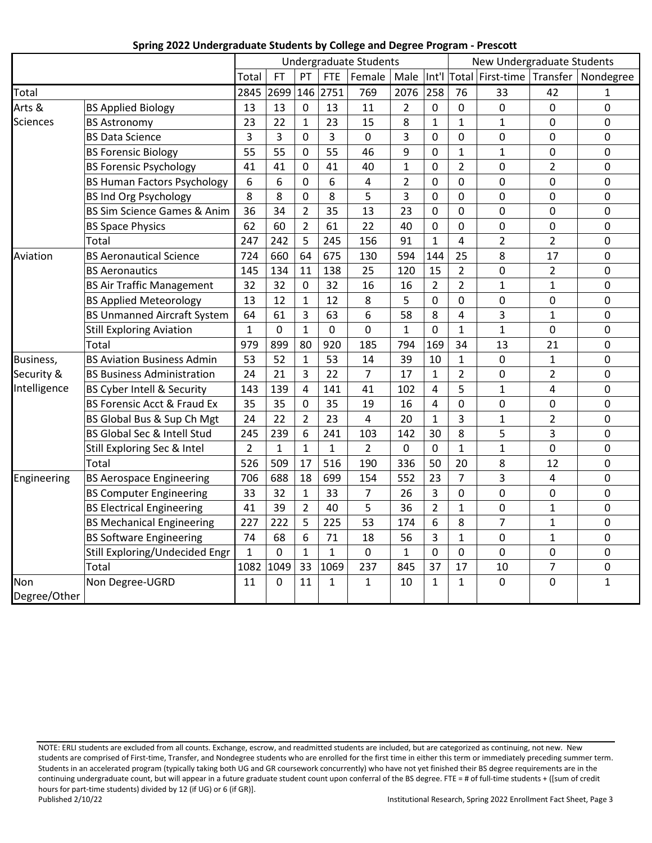|                     |                                        | Undergraduate Students |              |                |              |                |                | $50.16$ and $20.50$ and $20.1$ and $20.1$ | New Undergraduate Students |                     |                |                |  |  |
|---------------------|----------------------------------------|------------------------|--------------|----------------|--------------|----------------|----------------|-------------------------------------------|----------------------------|---------------------|----------------|----------------|--|--|
|                     |                                        | Total                  | FT           | PT             | <b>FTE</b>   | Female         | Male           | Int'l                                     | Total                      | First-time Transfer |                | Nondegree      |  |  |
| Total               |                                        | 2845                   | 2699 146     |                | 2751         | 769            | 2076           | 258                                       | 76                         | 33                  | 42             | $\mathbf{1}$   |  |  |
| Arts &              | <b>BS Applied Biology</b>              | 13                     | 13           | 0              | 13           | 11             | $\overline{2}$ | 0                                         | $\overline{0}$             | $\overline{0}$      | $\overline{0}$ | $\overline{0}$ |  |  |
| <b>Sciences</b>     | <b>BS Astronomy</b>                    | 23                     | 22           | $\mathbf{1}$   | 23           | 15             | 8              | $\mathbf{1}$                              | $\mathbf{1}$               | $\mathbf{1}$        | 0              | $\mathbf 0$    |  |  |
|                     | <b>BS Data Science</b>                 | $\overline{3}$         | 3            | 0              | 3            | $\mathbf 0$    | 3              | 0                                         | $\mathbf 0$                | 0                   | 0              | $\mathbf 0$    |  |  |
|                     | <b>BS Forensic Biology</b>             | 55                     | 55           | 0              | 55           | 46             | 9              | $\Omega$                                  | $\mathbf{1}$               | $\mathbf{1}$        | 0              | $\overline{0}$ |  |  |
|                     | <b>BS Forensic Psychology</b>          | 41                     | 41           | 0              | 41           | 40             | $\mathbf{1}$   | 0                                         | $\overline{2}$             | 0                   | $\overline{2}$ | $\mathbf 0$    |  |  |
|                     | <b>BS Human Factors Psychology</b>     | 6                      | 6            | $\overline{0}$ | 6            | 4              | $\overline{2}$ | 0                                         | $\mathbf 0$                | 0                   | 0              | $\mathbf 0$    |  |  |
|                     | <b>BS Ind Org Psychology</b>           | 8                      | 8            | 0              | 8            | 5              | 3              | 0                                         | 0                          | 0                   | 0              | $\mathbf 0$    |  |  |
|                     | <b>BS Sim Science Games &amp; Anim</b> | 36                     | 34           | $\overline{2}$ | 35           | 13             | 23             | 0                                         | $\overline{0}$             | 0                   | 0              | $\mathbf 0$    |  |  |
|                     | <b>BS Space Physics</b>                | 62                     | 60           | $\overline{2}$ | 61           | 22             | 40             | 0                                         | $\overline{0}$             | 0                   | 0              | $\mathbf 0$    |  |  |
|                     | Total                                  | 247                    | 242          | 5              | 245          | 156            | 91             | $\mathbf{1}$                              | $\overline{4}$             | $\overline{2}$      | $\overline{2}$ | $\mathbf 0$    |  |  |
| Aviation            | <b>BS Aeronautical Science</b>         | 724                    | 660          | 64             | 675          | 130            | 594            | 144                                       | 25                         | 8                   | 17             | $\overline{0}$ |  |  |
|                     | <b>BS Aeronautics</b>                  | 145                    | 134          | 11             | 138          | 25             | 120            | 15                                        | $\overline{2}$             | 0                   | $\overline{2}$ | $\mathbf 0$    |  |  |
|                     | <b>BS Air Traffic Management</b>       | 32                     | 32           | 0              | 32           | 16             | 16             | $\overline{2}$                            | $\overline{2}$             | $\mathbf{1}$        | $\overline{1}$ | $\mathbf 0$    |  |  |
|                     | <b>BS Applied Meteorology</b>          | 13                     | 12           | $\mathbf{1}$   | 12           | 8              | 5              | 0                                         | 0                          | 0                   | 0              | $\mathbf 0$    |  |  |
|                     | <b>BS Unmanned Aircraft System</b>     | 64                     | 61           | 3              | 63           | 6              | 58             | 8                                         | 4                          | 3                   | $\mathbf{1}$   | $\mathbf 0$    |  |  |
|                     | <b>Still Exploring Aviation</b>        | $\mathbf{1}$           | $\mathbf 0$  | $\mathbf{1}$   | $\mathbf 0$  | 0              | $\mathbf{1}$   | 0                                         | $\mathbf{1}$               | $\mathbf{1}$        | 0              | $\mathbf 0$    |  |  |
|                     | Total                                  | 979                    | 899          | 80             | 920          | 185            | 794            | 169                                       | 34                         | 13                  | 21             | $\mathbf 0$    |  |  |
| Business,           | <b>BS Aviation Business Admin</b>      | 53                     | 52           | $\mathbf{1}$   | 53           | 14             | 39             | 10                                        | $\mathbf{1}$               | 0                   | $\mathbf{1}$   | $\mathbf 0$    |  |  |
| Security &          | <b>BS Business Administration</b>      | 24                     | 21           | 3              | 22           | $\overline{7}$ | 17             | $\mathbf{1}$                              | $\overline{2}$             | 0                   | $\overline{2}$ | $\overline{0}$ |  |  |
| Intelligence        | BS Cyber Intell & Security             | 143                    | 139          | 4              | 141          | 41             | 102            | 4                                         | 5                          | $\mathbf{1}$        | 4              | $\mathbf 0$    |  |  |
|                     | <b>BS Forensic Acct &amp; Fraud Ex</b> | 35                     | 35           | 0              | 35           | 19             | 16             | 4                                         | $\pmb{0}$                  | 0                   | 0              | $\mathbf 0$    |  |  |
|                     | BS Global Bus & Sup Ch Mgt             | 24                     | 22           | $\overline{2}$ | 23           | 4              | 20             | $\mathbf{1}$                              | 3                          | $\mathbf{1}$        | $\overline{2}$ | $\mathbf 0$    |  |  |
|                     | BS Global Sec & Intell Stud            | 245                    | 239          | 6              | 241          | 103            | 142            | 30                                        | 8                          | 5                   | 3              | $\mathbf 0$    |  |  |
|                     | Still Exploring Sec & Intel            | $\overline{2}$         | $\mathbf{1}$ | $\mathbf{1}$   | $\mathbf{1}$ | $\overline{2}$ | 0              | 0                                         | $\mathbf{1}$               | $\mathbf{1}$        | 0              | $\mathbf 0$    |  |  |
|                     | Total                                  | 526                    | 509          | 17             | 516          | 190            | 336            | 50                                        | 20                         | 8                   | 12             | $\mathbf 0$    |  |  |
| Engineering         | <b>BS Aerospace Engineering</b>        | 706                    | 688          | 18             | 699          | 154            | 552            | 23                                        | $\overline{7}$             | 3                   | $\overline{4}$ | $\mathbf 0$    |  |  |
|                     | <b>BS Computer Engineering</b>         | 33                     | 32           | $\mathbf{1}$   | 33           | $\overline{7}$ | 26             | 3                                         | 0                          | 0                   | 0              | $\mathbf 0$    |  |  |
|                     | <b>BS Electrical Engineering</b>       | 41                     | 39           | $\overline{2}$ | 40           | 5              | 36             | $\overline{2}$                            | $\mathbf{1}$               | 0                   | $\mathbf{1}$   | $\mathbf 0$    |  |  |
|                     | <b>BS Mechanical Engineering</b>       | 227                    | 222          | 5              | 225          | 53             | 174            | 6                                         | 8                          | $\overline{7}$      | $\mathbf{1}$   | $\mathbf 0$    |  |  |
|                     | <b>BS Software Engineering</b>         | 74                     | 68           | 6              | 71           | 18             | 56             | 3                                         | $\mathbf{1}$               | 0                   | $\mathbf{1}$   | $\mathbf 0$    |  |  |
|                     | Still Exploring/Undecided Engr         | $\mathbf{1}$           | 0            | $\mathbf{1}$   | $\mathbf{1}$ | $\mathbf 0$    | $\mathbf{1}$   | 0                                         | $\mathbf 0$                | 0                   | 0              | $\mathbf 0$    |  |  |
|                     | Total                                  | 1082                   | 1049         | 33             | 1069         | 237            | 845            | 37                                        | 17                         | 10                  | $\overline{7}$ | $\pmb{0}$      |  |  |
| Non<br>Degree/Other | Non Degree-UGRD                        | 11                     | 0            | 11             | $\mathbf{1}$ | $\mathbf{1}$   | 10             | $\mathbf{1}$                              | $\mathbf{1}$               | 0                   | 0              | $\mathbf{1}$   |  |  |

## **Spring 2022 Undergraduate Students by College and Degree Program - Prescott**

NOTE: ERLI students are excluded from all counts. Exchange, escrow, and readmitted students are included, but are categorized as continuing, not new. New students are comprised of First-time, Transfer, and Nondegree students who are enrolled for the first time in either this term or immediately preceding summer term. Students in an accelerated program (typically taking both UG and GR coursework concurrently) who have not yet finished their BS degree requirements are in the continuing undergraduate count, but will appear in a future graduate student count upon conferral of the BS degree. FTE = # of full-time students + ([sum of credit hours for part-time students) divided by 12 (if UG) or 6 (if GR)].<br>Published 2/10/22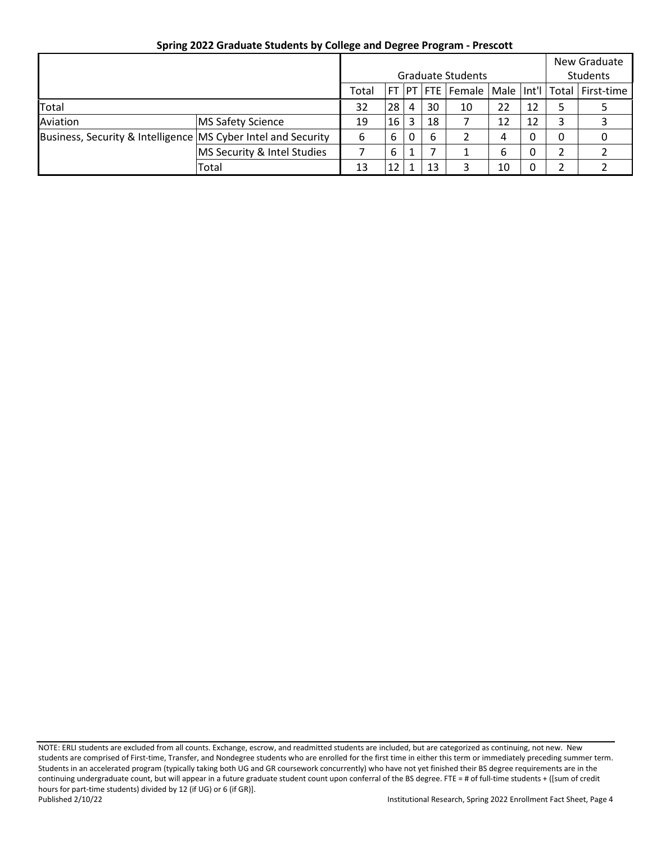|                                                               |                          |    |                          |   |          |    |    |    | New Graduate                                               |  |
|---------------------------------------------------------------|--------------------------|----|--------------------------|---|----------|----|----|----|------------------------------------------------------------|--|
|                                                               |                          |    | <b>Graduate Students</b> |   | Students |    |    |    |                                                            |  |
|                                                               | Total                    |    |                          |   |          |    |    |    | FT   PT   FTE   Female   Male   Int'l   Total   First-time |  |
| <b>Total</b>                                                  |                          |    | 28                       | 4 | 30       | 10 | 22 | 12 |                                                            |  |
| Aviation                                                      | <b>MS Safety Science</b> | 19 | 16                       | 3 | 18       |    | 12 | 12 | 3                                                          |  |
| Business, Security & Intelligence MS Cyber Intel and Security |                          | 6  | 6                        | 0 | 6        |    | 4  | 0  | 0                                                          |  |
|                                                               |                          | 6  |                          |   |          | 6  | 0  | 2  |                                                            |  |
|                                                               | Total                    | 13 |                          |   | 13       |    | 10 | 0  | າ                                                          |  |

# **Spring 2022 Graduate Students by College and Degree Program - Prescott**

NOTE: ERLI students are excluded from all counts. Exchange, escrow, and readmitted students are included, but are categorized as continuing, not new. New students are comprised of First-time, Transfer, and Nondegree students who are enrolled for the first time in either this term or immediately preceding summer term. Students in an accelerated program (typically taking both UG and GR coursework concurrently) who have not yet finished their BS degree requirements are in the continuing undergraduate count, but will appear in a future graduate student count upon conferral of the BS degree. FTE = # of full-time students + ([sum of credit hours for part-time students) divided by 12 (if UG) or 6 (if GR)].<br>Published 2/10/22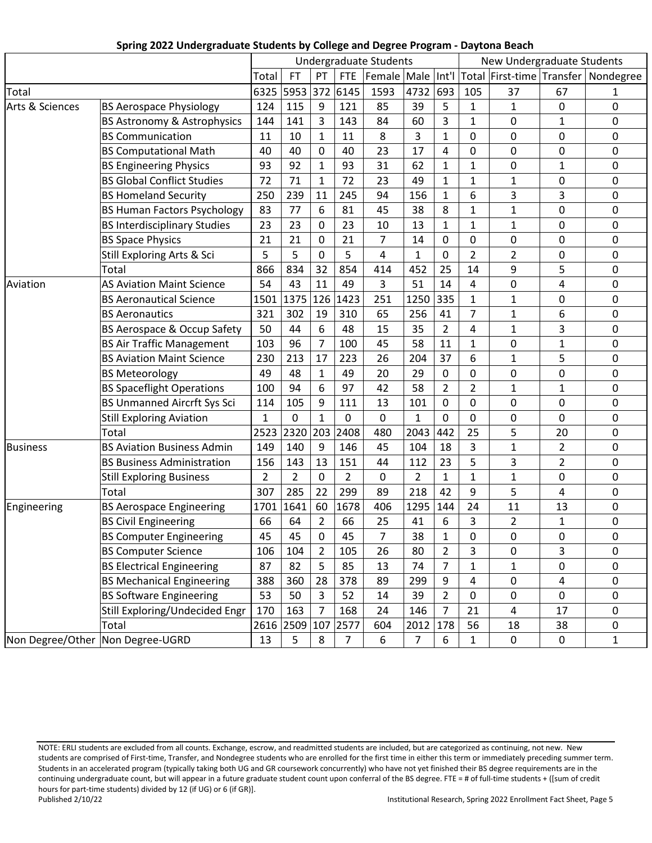|                 | $\frac{1}{2}$ . The change of $\frac{1}{2}$ is the contract of $\frac{1}{2}$ |                |                |                |                | $, 20.12$ and $, 20.12$ . The state $, 10.1$ |                |                |                |                            |                     |                                       |
|-----------------|------------------------------------------------------------------------------|----------------|----------------|----------------|----------------|----------------------------------------------|----------------|----------------|----------------|----------------------------|---------------------|---------------------------------------|
|                 |                                                                              |                |                |                |                | <b>Undergraduate Students</b>                |                |                |                | New Undergraduate Students |                     |                                       |
|                 |                                                                              | Total          | FT             | PT             | <b>FTE</b>     | Female Male Int'l                            |                |                |                |                            |                     | Total First-time Transfer   Nondegree |
| Total           |                                                                              | 6325           | 5953 372       |                | 6145           | 1593                                         | 4732           | 693            | 105            | 37                         | 67                  | 1                                     |
| Arts & Sciences | <b>BS Aerospace Physiology</b>                                               | 124            | 115            | 9              | 121            | 85                                           | 39             | 5              | $\mathbf{1}$   | 1                          | $\mathbf 0$         | 0                                     |
|                 | <b>BS Astronomy &amp; Astrophysics</b>                                       | 144            | 141            | 3              | 143            | 84                                           | 60             | 3              | $\mathbf{1}$   | 0                          | $\mathbf{1}$        | 0                                     |
|                 | <b>BS Communication</b>                                                      | 11             | 10             | $\mathbf{1}$   | 11             | 8                                            | 3              | $\mathbf{1}$   | 0              | 0                          | 0                   | 0                                     |
|                 | <b>BS Computational Math</b>                                                 | 40             | 40             | 0              | 40             | 23                                           | 17             | 4              | 0              | 0                          | 0                   | 0                                     |
|                 | <b>BS Engineering Physics</b>                                                | 93             | 92             | 1              | 93             | 31                                           | 62             | 1              | 1              | 0                          | $\mathbf{1}$        | 0                                     |
|                 | <b>BS Global Conflict Studies</b>                                            | 72             | 71             | $\mathbf{1}$   | 72             | 23                                           | 49             | $\mathbf{1}$   | $\mathbf{1}$   | $\mathbf{1}$               | 0                   | 0                                     |
|                 | <b>BS Homeland Security</b>                                                  | 250            | 239            | 11             | 245            | 94                                           | 156            | 1              | 6              | 3                          | 3                   | 0                                     |
|                 | <b>BS Human Factors Psychology</b>                                           | 83             | 77             | 6              | 81             | 45                                           | 38             | 8              | 1              | 1                          | 0                   | 0                                     |
|                 | <b>BS Interdisciplinary Studies</b>                                          | 23             | 23             | 0              | 23             | 10                                           | 13             | $\mathbf{1}$   | $\mathbf{1}$   | $\mathbf{1}$               | $\mathbf 0$         | 0                                     |
|                 | <b>BS Space Physics</b>                                                      | 21             | 21             | 0              | 21             | $\overline{7}$                               | 14             | 0              | 0              | 0                          | 0                   | 0                                     |
|                 | Still Exploring Arts & Sci                                                   | 5              | 5              | 0              | 5              | 4                                            | $\mathbf{1}$   | 0              | $\overline{2}$ | $\overline{2}$             | $\mathsf{O}\xspace$ | 0                                     |
|                 | Total                                                                        | 866            | 834            | 32             | 854            | 414                                          | 452            | 25             | 14             | 9                          | 5                   | 0                                     |
| Aviation        | <b>AS Aviation Maint Science</b>                                             | 54             | 43             | 11             | 49             | 3                                            | 51             | 14             | 4              | 0                          | 4                   | 0                                     |
|                 | <b>BS Aeronautical Science</b>                                               | 1501           | 1375           | 126            | 1423           | 251                                          | 1250           | 335            | 1              | $\mathbf{1}$               | $\mathbf 0$         | 0                                     |
|                 | <b>BS Aeronautics</b>                                                        | 321            | 302            | 19             | 310            | 65                                           | 256            | 41             | $\overline{7}$ | 1                          | 6                   | 0                                     |
|                 | BS Aerospace & Occup Safety                                                  | 50             | 44             | 6              | 48             | 15                                           | 35             | $\overline{2}$ | 4              | $\mathbf{1}$               | 3                   | 0                                     |
|                 | <b>BS Air Traffic Management</b>                                             | 103            | 96             | 7              | 100            | 45                                           | 58             | 11             | 1              | 0                          | $\mathbf{1}$        | 0                                     |
|                 | <b>BS Aviation Maint Science</b>                                             | 230            | 213            | 17             | 223            | 26                                           | 204            | 37             | 6              | $\mathbf{1}$               | 5                   | 0                                     |
|                 | <b>BS Meteorology</b>                                                        | 49             | 48             | $\mathbf{1}$   | 49             | 20                                           | 29             | 0              | 0              | 0                          | 0                   | 0                                     |
|                 | <b>BS Spaceflight Operations</b>                                             | 100            | 94             | 6              | 97             | 42                                           | 58             | $\overline{2}$ | $\overline{2}$ | $\mathbf{1}$               | $\mathbf{1}$        | 0                                     |
|                 | <b>BS Unmanned Aircrft Sys Sci</b>                                           | 114            | 105            | 9              | 111            | 13                                           | 101            | 0              | 0              | 0                          | $\mathsf{O}\xspace$ | 0                                     |
|                 | <b>Still Exploring Aviation</b>                                              | $\mathbf{1}$   | 0              | $\mathbf{1}$   | 0              | 0                                            | 1              | 0              | 0              | 0                          | $\mathbf 0$         | 0                                     |
|                 | Total                                                                        | 2523           | 2320           | 203            | 2408           | 480                                          | 2043           | 442            | 25             | 5                          | 20                  | 0                                     |
| <b>Business</b> | <b>BS Aviation Business Admin</b>                                            | 149            | 140            | 9              | 146            | 45                                           | 104            | 18             | 3              | $\mathbf 1$                | $\overline{2}$      | 0                                     |
|                 | <b>BS Business Administration</b>                                            | 156            | 143            | 13             | 151            | 44                                           | 112            | 23             | 5              | 3                          | $\overline{2}$      | 0                                     |
|                 | <b>Still Exploring Business</b>                                              | $\overline{2}$ | $\overline{2}$ | $\mathbf 0$    | $\overline{2}$ | 0                                            | $\overline{2}$ | $\mathbf{1}$   | $\mathbf{1}$   | $\mathbf{1}$               | 0                   | 0                                     |
|                 | Total                                                                        | 307            | 285            | 22             | 299            | 89                                           | 218            | 42             | 9              | 5                          | $\overline{4}$      | 0                                     |
| Engineering     | <b>BS Aerospace Engineering</b>                                              | 1701           | 1641           | 60             | 1678           | 406                                          | 1295           | 144            | 24             | 11                         | 13                  | 0                                     |
|                 | <b>BS Civil Engineering</b>                                                  | 66             | 64             | 2              | 66             | 25                                           | 41             | 6              | 3              | $\overline{2}$             | 1                   | 0                                     |
|                 | <b>BS Computer Engineering</b>                                               | 45             | 45             | $\pmb{0}$      | 45             | 7                                            | 38             | $\mathbf{1}$   | 0              | 0                          | 0                   | 0                                     |
|                 | <b>BS Computer Science</b>                                                   | 106            | 104            | $\overline{2}$ | 105            | 26                                           | 80             | $\overline{2}$ | 3              | 0                          | $\overline{3}$      | 0                                     |
|                 | <b>BS Electrical Engineering</b>                                             | 87             | 82             | 5              | 85             | 13                                           | 74             | 7              | $\mathbf{1}$   | $\mathbf{1}$               | $\pmb{0}$           | $\mathsf{O}\xspace$                   |
|                 | <b>BS Mechanical Engineering</b>                                             | 388            | 360            | 28             | 378            | 89                                           | 299            | 9              | 4              | 0                          | 4                   | $\mathbf 0$                           |
|                 | <b>BS Software Engineering</b>                                               | 53             | 50             | $\overline{3}$ | 52             | 14                                           | 39             | $\overline{2}$ | $\mathbf 0$    | 0                          | $\mathbf 0$         | 0                                     |
|                 | Still Exploring/Undecided Engr                                               | 170            | 163            | $\overline{7}$ | 168            | 24                                           | 146            | $\overline{7}$ | 21             | $\overline{4}$             | 17                  | $\mathsf{O}\xspace$                   |
|                 | Total                                                                        |                | 2616 2509 107  |                | 2577           | 604                                          | 2012           | 178            | 56             | 18                         | 38                  | 0                                     |
|                 | Non Degree/Other Non Degree-UGRD                                             | 13             | 5              | 8              | $\overline{7}$ | $\boldsymbol{6}$                             | $\overline{7}$ | 6              | $\mathbf{1}$   | $\mathbf 0$                | $\mathbf 0$         | $\mathbf{1}$                          |

**Spring 2022 Undergraduate Students by College and Degree Program - Daytona Beach**

NOTE: ERLI students are excluded from all counts. Exchange, escrow, and readmitted students are included, but are categorized as continuing, not new. New students are comprised of First-time, Transfer, and Nondegree students who are enrolled for the first time in either this term or immediately preceding summer term. Students in an accelerated program (typically taking both UG and GR coursework concurrently) who have not yet finished their BS degree requirements are in the continuing undergraduate count, but will appear in a future graduate student count upon conferral of the BS degree. FTE = # of full-time students + ([sum of credit hours for part-time students) divided by 12 (if UG) or 6 (if GR)].<br>Published 2/10/22 Institutional Research, Spring 2022 Enrollment Fact Sheet, Page 5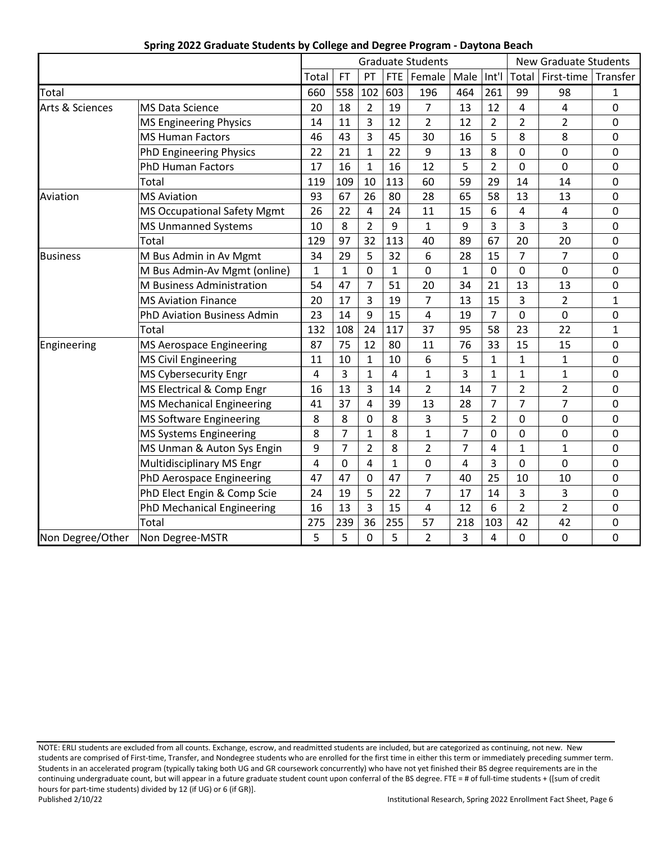|                            |                                    |       |                |                |                | <b>Graduate Students</b> |                |                | <b>New Graduate Students</b> |                  |              |
|----------------------------|------------------------------------|-------|----------------|----------------|----------------|--------------------------|----------------|----------------|------------------------------|------------------|--------------|
|                            |                                    | Total | FT             | PT             | <b>FTE</b>     | Female                   | Male           | Int'l          | Total                        | First-time       | Transfer     |
| Total                      |                                    | 660   | 558            | 102            | 603            | 196                      | 464            | 261            | 99                           | 98               | 1            |
| <b>Arts &amp; Sciences</b> | <b>MS Data Science</b>             | 20    | 18             | $\overline{2}$ | 19             | $\overline{7}$           | 13             | 12             | 4                            | 4                | 0            |
|                            | <b>MS Engineering Physics</b>      | 14    | 11             | 3              | 12             | $\overline{2}$           | 12             | $\overline{2}$ | $\overline{2}$               | $\overline{2}$   | 0            |
|                            | <b>MS Human Factors</b>            | 46    | 43             | 3              | 45             | 30                       | 16             | 5              | 8                            | 8                | 0            |
|                            | <b>PhD Engineering Physics</b>     | 22    | 21             | $\mathbf{1}$   | 22             | 9                        | 13             | 8              | 0                            | $\overline{0}$   | 0            |
|                            | <b>PhD Human Factors</b>           | 17    | 16             | $\mathbf{1}$   | 16             | 12                       | 5              | $\overline{2}$ | $\mathbf 0$                  | $\mathbf 0$      | 0            |
|                            | Total                              | 119   | 109            | 10             | 113            | 60                       | 59             | 29             | 14                           | 14               | 0            |
| Aviation                   | <b>MS Aviation</b>                 | 93    | 67             | 26             | 80             | 28                       | 65             | 58             | 13                           | 13               | $\pmb{0}$    |
|                            | <b>MS Occupational Safety Mgmt</b> | 26    | 22             | 4              | 24             | 11                       | 15             | 6              | 4                            | $\overline{4}$   | $\mathbf 0$  |
|                            | <b>MS Unmanned Systems</b>         | 10    | 8              | $\overline{2}$ | 9              | $\mathbf{1}$             | 9              | 3              | 3                            | 3                | 0            |
|                            | Total                              | 129   | 97             | 32             | 113            | 40                       | 89             | 67             | 20                           | 20               | 0            |
| <b>Business</b>            | M Bus Admin in Av Mgmt             | 34    | 29             | 5              | 32             | 6                        | 28             | 15             | $\overline{7}$               | 7                | $\pmb{0}$    |
|                            | M Bus Admin-Av Mgmt (online)       | 1     | $\mathbf{1}$   | 0              | $\mathbf{1}$   | 0                        | 1              | $\mathbf 0$    | $\mathbf 0$                  | $\overline{0}$   | 0            |
|                            | <b>M</b> Business Administration   | 54    | 47             | $\overline{7}$ | 51             | 20                       | 34             | 21             | 13                           | 13               | 0            |
|                            | <b>MS Aviation Finance</b>         | 20    | 17             | 3              | 19             | $\overline{7}$           | 13             | 15             | 3                            | $\overline{2}$   | $\mathbf{1}$ |
|                            | PhD Aviation Business Admin        | 23    | 14             | 9              | 15             | $\overline{4}$           | 19             | $\overline{7}$ | $\mathbf 0$                  | $\mathbf 0$      | $\pmb{0}$    |
|                            | Total                              | 132   | 108            | 24             | 117            | 37                       | 95             | 58             | 23                           | 22               | $\mathbf{1}$ |
| Engineering                | MS Aerospace Engineering           | 87    | 75             | 12             | 80             | 11                       | 76             | 33             | 15                           | 15               | $\pmb{0}$    |
|                            | <b>MS Civil Engineering</b>        | 11    | 10             | $\mathbf{1}$   | 10             | 6                        | 5              | $\mathbf{1}$   | $\mathbf{1}$                 | $\mathbf{1}$     | $\mathbf 0$  |
|                            | <b>MS Cybersecurity Engr</b>       | 4     | 3              | $\mathbf{1}$   | $\overline{4}$ | $\mathbf{1}$             | 3              | $\mathbf{1}$   | $\mathbf{1}$                 | $\mathbf{1}$     | $\pmb{0}$    |
|                            | MS Electrical & Comp Engr          | 16    | 13             | 3              | 14             | $\overline{2}$           | 14             | $\overline{7}$ | $\overline{2}$               | $\overline{2}$   | $\mathbf 0$  |
|                            | MS Mechanical Engineering          | 41    | 37             | 4              | 39             | 13                       | 28             | $\overline{7}$ | 7                            | 7                | 0            |
|                            | <b>MS Software Engineering</b>     | 8     | 8              | 0              | 8              | 3                        | 5              | $\overline{2}$ | 0                            | $\mathbf 0$      | 0            |
|                            | MS Systems Engineering             | 8     | $\overline{7}$ | $\mathbf{1}$   | 8              | $\mathbf{1}$             | 7              | $\mathbf 0$    | 0                            | $\boldsymbol{0}$ | $\pmb{0}$    |
|                            | MS Unman & Auton Sys Engin         | 9     | $\overline{7}$ | $\overline{2}$ | 8              | $\overline{2}$           | $\overline{7}$ | $\overline{4}$ | $\mathbf{1}$                 | $\mathbf{1}$     | $\mathbf 0$  |
|                            | Multidisciplinary MS Engr          | 4     | 0              | 4              | $\mathbf{1}$   | 0                        | 4              | 3              | 0                            | $\mathbf 0$      | $\pmb{0}$    |
|                            | PhD Aerospace Engineering          | 47    | 47             | 0              | 47             | $\overline{7}$           | 40             | 25             | 10                           | 10               | 0            |
|                            | PhD Elect Engin & Comp Scie        | 24    | 19             | 5              | 22             | $\overline{7}$           | 17             | 14             | 3                            | 3                | 0            |
|                            | PhD Mechanical Engineering         | 16    | 13             | 3              | 15             | $\overline{4}$           | 12             | 6              | $\overline{2}$               | $\overline{2}$   | $\pmb{0}$    |
| Total                      |                                    |       | 239            | 36             | 255            | 57                       | 218            | 103            | 42                           | 42               | 0            |
| Non Degree/Other           | Non Degree-MSTR                    | 5     | 5              | $\overline{0}$ | 5              | $\overline{2}$           | 3              | $\overline{4}$ | 0                            | $\mathbf 0$      | $\mathbf 0$  |

### **Spring 2022 Graduate Students by College and Degree Program - Daytona Beach**

NOTE: ERLI students are excluded from all counts. Exchange, escrow, and readmitted students are included, but are categorized as continuing, not new. New students are comprised of First-time, Transfer, and Nondegree students who are enrolled for the first time in either this term or immediately preceding summer term. Students in an accelerated program (typically taking both UG and GR coursework concurrently) who have not yet finished their BS degree requirements are in the continuing undergraduate count, but will appear in a future graduate student count upon conferral of the BS degree. FTE = # of full-time students + ([sum of credit hours for part-time students) divided by 12 (if UG) or 6 (if GR)].<br>Published 2/10/22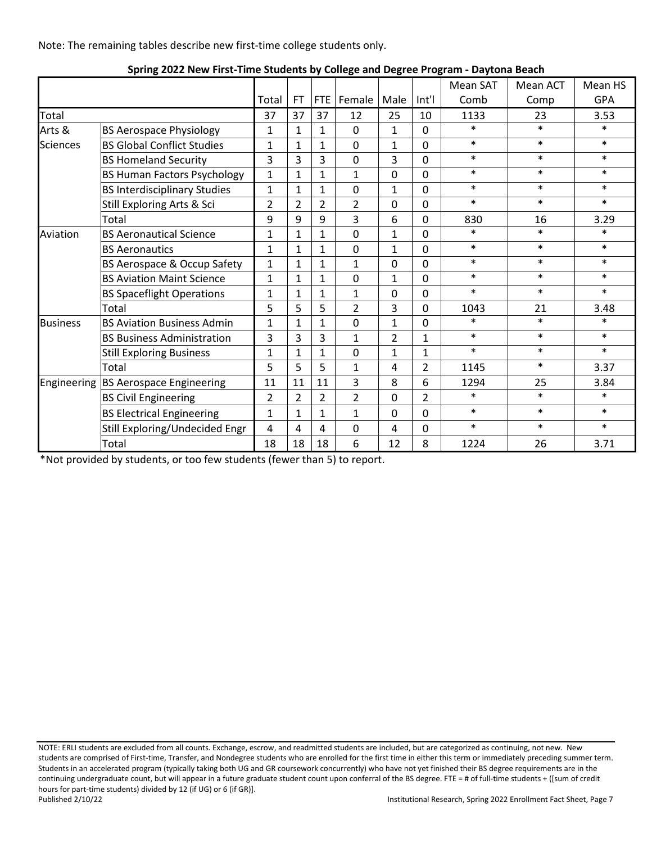Note: The remaining tables describe new first-time college students only.

|                 |                                     |                |                |                |                |                |                | Mean SAT | Mean ACT | Mean HS    |
|-----------------|-------------------------------------|----------------|----------------|----------------|----------------|----------------|----------------|----------|----------|------------|
|                 |                                     | Total          | FT             |                | FTE   Female   | Male           | Int'l          | Comb     | Comp     | <b>GPA</b> |
| Total           |                                     | 37             | 37             | 37             | 12             | 25             | 10             | 1133     | 23       | 3.53       |
| Arts &          | <b>BS Aerospace Physiology</b>      | 1              | $\mathbf{1}$   | 1              | 0              | $\mathbf{1}$   | 0              | $\ast$   | $\ast$   | $\ast$     |
| <b>Sciences</b> | <b>BS Global Conflict Studies</b>   | $\mathbf{1}$   | $\mathbf{1}$   | $\mathbf{1}$   | 0              | $\mathbf{1}$   | $\mathbf 0$    | $\ast$   | $\ast$   | $\ast$     |
|                 | <b>BS Homeland Security</b>         | 3              | $\overline{3}$ | 3              | 0              | 3              | $\mathbf 0$    | $\ast$   | $\ast$   | $\ast$     |
|                 | <b>BS Human Factors Psychology</b>  | $\mathbf{1}$   | $\mathbf{1}$   | $\mathbf{1}$   | $\mathbf{1}$   | 0              | $\mathbf 0$    | $\ast$   | $\ast$   | $\ast$     |
|                 | <b>BS Interdisciplinary Studies</b> | $\mathbf{1}$   | $\mathbf{1}$   | $\mathbf{1}$   | $\mathbf 0$    | $\mathbf{1}$   | $\mathbf 0$    | $\ast$   | $\ast$   | $\ast$     |
|                 | Still Exploring Arts & Sci          | $\overline{2}$ | $\overline{2}$ | $\overline{2}$ | $\overline{2}$ | $\mathbf 0$    | $\overline{0}$ | $\ast$   | $\ast$   | $\ast$     |
|                 | Total                               | 9              | 9              | 9              | 3              | 6              | $\Omega$       | 830      | 16       | 3.29       |
| Aviation        | <b>BS Aeronautical Science</b>      | $\mathbf{1}$   | $\mathbf{1}$   | $\mathbf{1}$   | $\mathbf 0$    | $\mathbf{1}$   | 0              | $\ast$   | $\ast$   | $\ast$     |
|                 | <b>BS Aeronautics</b>               | $\mathbf{1}$   | $\mathbf{1}$   | $\mathbf{1}$   | $\mathbf 0$    | $\mathbf{1}$   | $\Omega$       | $\ast$   | $\ast$   | $\ast$     |
|                 | BS Aerospace & Occup Safety         | $\mathbf{1}$   | $\mathbf{1}$   | $\mathbf{1}$   | $\mathbf{1}$   | $\mathbf 0$    | $\Omega$       | $\ast$   | $\ast$   | $\ast$     |
|                 | <b>BS Aviation Maint Science</b>    | $\mathbf{1}$   | $\mathbf{1}$   | $\mathbf{1}$   | $\Omega$       | $\mathbf{1}$   | $\Omega$       | $\ast$   | $\ast$   | $\ast$     |
|                 | <b>BS Spaceflight Operations</b>    | $\mathbf{1}$   | $\mathbf{1}$   | $\mathbf{1}$   | 1              | 0              | $\Omega$       | $\ast$   | $\ast$   | $\ast$     |
|                 | Total                               | 5              | 5              | 5              | $\overline{2}$ | 3              | $\mathbf 0$    | 1043     | 21       | 3.48       |
| <b>Business</b> | <b>BS Aviation Business Admin</b>   | $\mathbf{1}$   | $\mathbf{1}$   | $\mathbf{1}$   | $\mathbf 0$    | $\mathbf{1}$   | $\mathbf 0$    | $\ast$   | $\ast$   | $\ast$     |
|                 | <b>BS Business Administration</b>   | 3              | 3              | 3              | 1              | $\overline{2}$ | $\mathbf{1}$   | $\ast$   | $\ast$   | $\ast$     |
|                 | <b>Still Exploring Business</b>     | $\mathbf{1}$   | $\mathbf{1}$   | $\mathbf{1}$   | 0              | $\mathbf{1}$   | $\mathbf{1}$   | $\ast$   | $\ast$   | $\ast$     |
|                 | Total                               | 5              | 5              | 5              | $\mathbf{1}$   | 4              | $\overline{2}$ | 1145     | $\ast$   | 3.37       |
| Engineering     | <b>BS Aerospace Engineering</b>     | 11             | 11             | 11             | 3              | 8              | 6              | 1294     | 25       | 3.84       |
|                 | <b>BS Civil Engineering</b>         | $\overline{2}$ | $\overline{2}$ | $\overline{2}$ | $\overline{2}$ | 0              | $\overline{2}$ | $\ast$   | $\ast$   | $\ast$     |
|                 | <b>BS Electrical Engineering</b>    | $\mathbf{1}$   | $\mathbf{1}$   | $\mathbf{1}$   | $\mathbf{1}$   | 0              | $\mathbf 0$    | $\ast$   | $\ast$   | $\ast$     |
|                 | Still Exploring/Undecided Engr      | 4              | 4              | 4              | $\mathbf 0$    | 4              | $\mathbf 0$    | $\ast$   | $\ast$   | $\ast$     |
|                 | Total                               | 18             | 18             | 18             | 6              | 12             | 8              | 1224     | 26       | 3.71       |

\*Not provided by students, or too few students (fewer than 5) to report.

NOTE: ERLI students are excluded from all counts. Exchange, escrow, and readmitted students are included, but are categorized as continuing, not new. New students are comprised of First-time, Transfer, and Nondegree students who are enrolled for the first time in either this term or immediately preceding summer term. Students in an accelerated program (typically taking both UG and GR coursework concurrently) who have not yet finished their BS degree requirements are in the continuing undergraduate count, but will appear in a future graduate student count upon conferral of the BS degree. FTE = # of full-time students + ([sum of credit hours for part-time students) divided by 12 (if UG) or 6 (if GR)].<br>Published 2/10/22